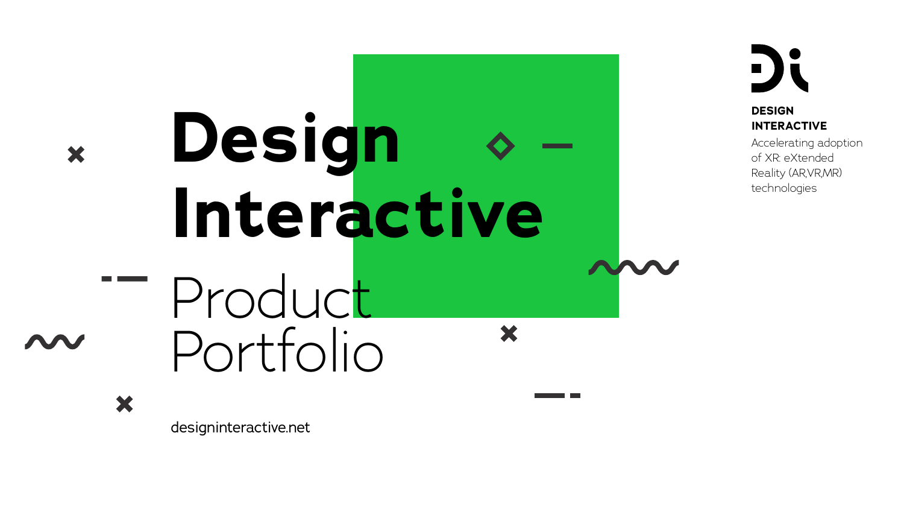# **Design** × **Interactive** Product Portfolio

### **DESIGN INTERACTIVE**

Accelerating adoption of XR: eXtended Reality (AR,VR,MR) technologies



[designinteractive.net](https://designinteractive.net) 



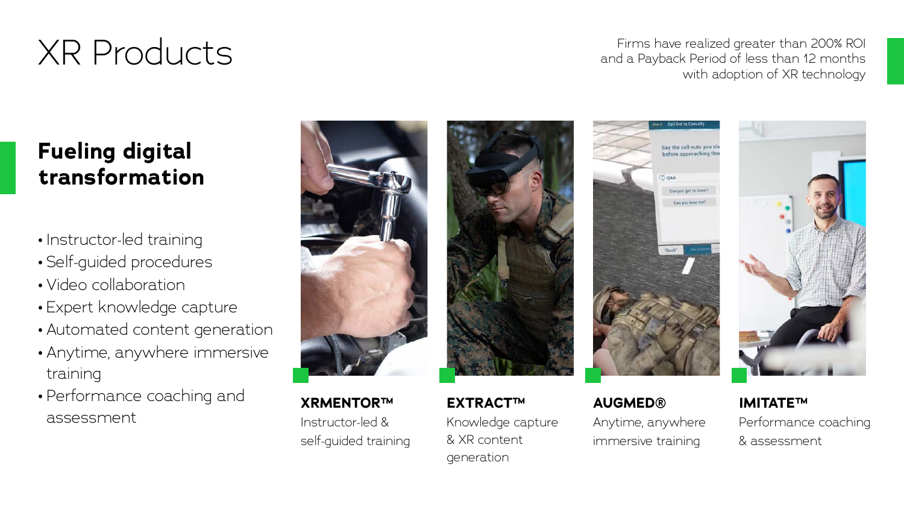# XR Products

- Instructor-led training
- Self-guided procedures
- Video collaboration
- Expert knowledge capture
- Automated content generation
- Anytime, anywhere immersive training
- Performance coaching and assessment



**XRMENTOR™** Instructor-led & self-guided training

**EXTRACT™** Knowledge capture & XR content generation



**AUGMED®** Anytime, anywhere immersive training



**IMITATE™** Performance coaching & assessment





## **Fueling digital transformation**

Firms have realized greater than 200% ROI and a Payback Period of less than 12 months with adoption of XR technology

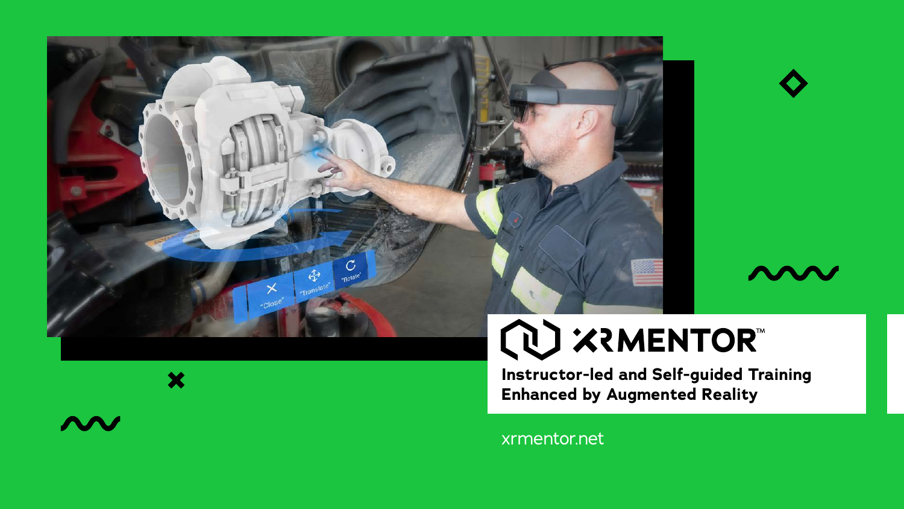







 $\boldsymbol{\mathcal{N}}$ 



Instructor-led and Self-guided Training **Enhanced by Augmented Reality** 

xrmentor.net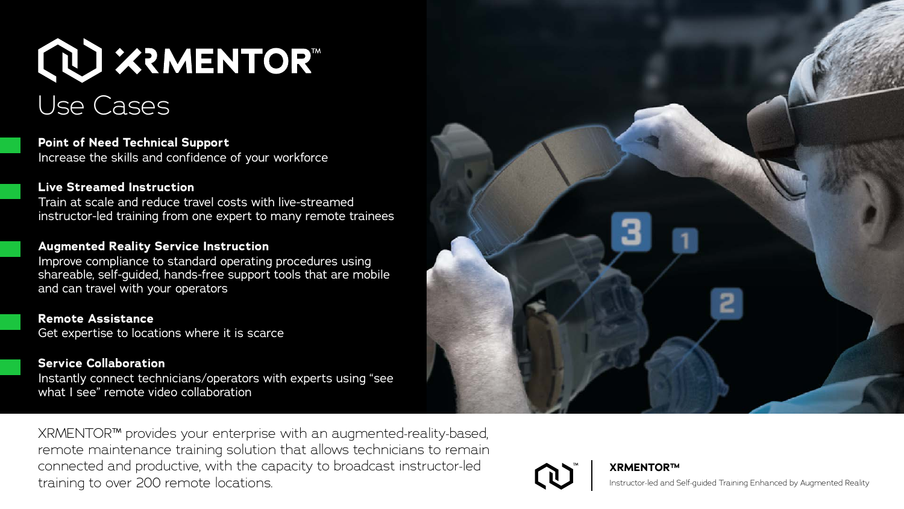# QU XRMENTOR" Use Cases

**Point of Need Technical Support**  Increase the skills and confidence of your workforce

### **Live Streamed Instruction**

Train at scale and reduce travel costs with live-streamed instructor-led training from one expert to many remote trainees

### **Augmented Reality Service Instruction**

Improve compliance to standard operating procedures using shareable, self-guided, hands-free support tools that are mobile and can travel with your operators

### **Remote Assistance**

Get expertise to locations where it is scarce

### **Service Collaboration**

Instantly connect technicians/operators with experts using "see what I see" remote video collaboration

XRMENTOR™ provides your enterprise with an augmented-reality-based, remote maintenance training solution that allows technicians to remain connected and productive, with the capacity to broadcast instructor-led training to over 200 remote locations.





**XRMENTOR™**

Instructor-led and Self-guided Training Enhanced by Augmented Reality

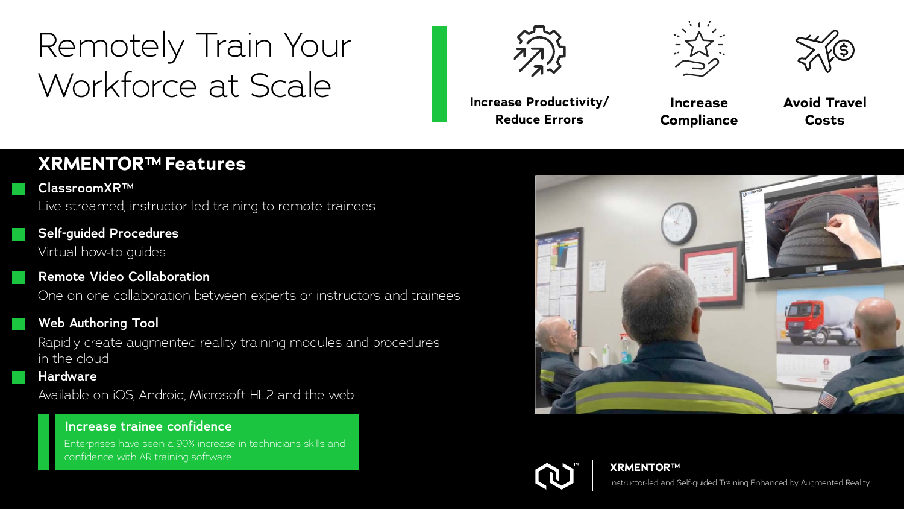**XRMENTOR™** W Instructor-led and Self-guided Training Enhanced by Augmented Reality

# Remotely Train Your Workforce at Scale





## **XRMENTOR™ Features**

Live streamed, instructor led training to remote trainees

### **ClassroomXR™**

### **Self-guided Procedures**

### **Remote Video Collaboration**

### **Hardware**

### **Web Authoring Tool**

Virtual how-to guides

One on one collaboration between experts or instructors and trainees

Available on iOS, Android, Microsoft HL2 and the web

Rapidly create augmented reality training modules and procedures in the cloud

### **Increase Productivity/ Reduce Errors**

**Increase Compliance**

**Avoid Travel Costs**



### **Increase trainee confidence**

Enterprises have seen a 90% increase in technicians skills and confidence with AR training software.





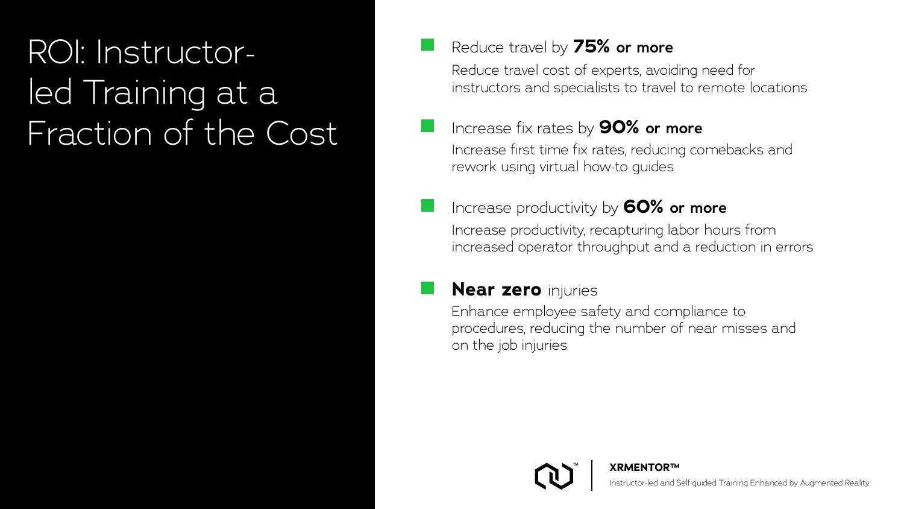**XRMENTOR™**  $\Omega$ Instructor-led and Self-guided Training Enhanced by Augmented Reality



# ROI: Instructorled Training at a Fraction of the Cost

Reduce travel cost of experts, avoiding need for instructors and specialists to travel to remote locations

## Reduce travel by **75% or more**

## Increase fix rates by **90% or more**

Increase first time fix rates, reducing comebacks and rework using virtual how-to guides

## Increase productivity by **60% or more**

Increase productivity, recapturing labor hours from increased operator throughput and a reduction in errors

## **Near zero** injuries

Enhance employee safety and compliance to procedures, reducing the number of near misses and on the job injuries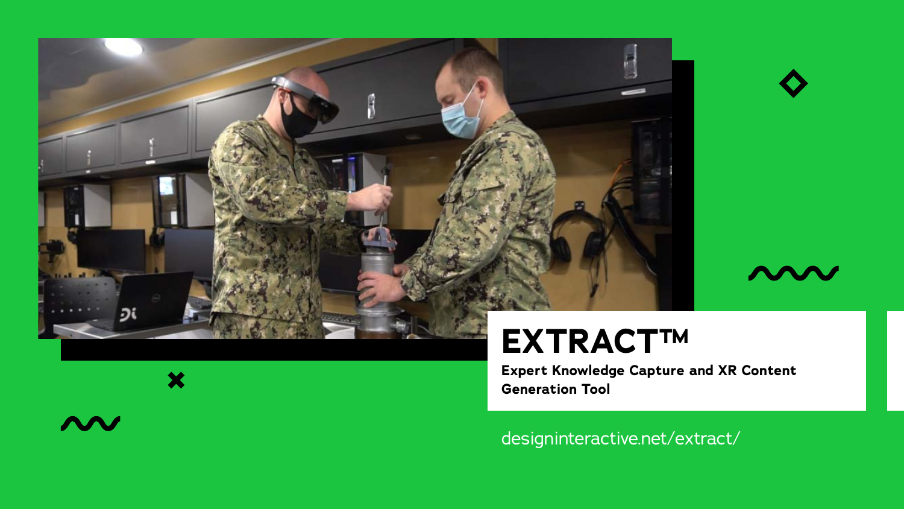









# EXTRACTTM

**Expert Knowledge Capture and XR Content Generation Tool** 

designinteractive.net/extract/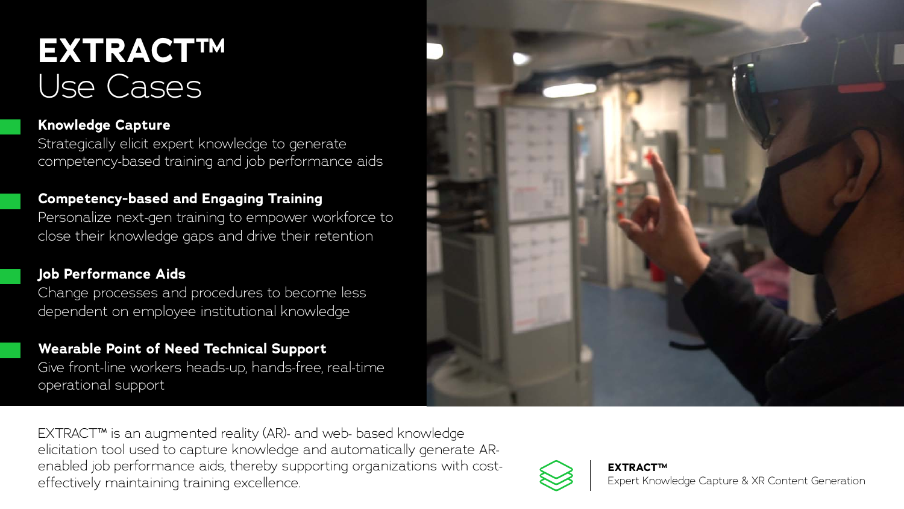### **Knowledge Capture**

Strategically elicit expert knowledge to generate competency-based training and job performance aids

## **Competency-based and Engaging Training**

Personalize next-gen training to empower workforce to close their knowledge gaps and drive their retention

## **Job Performance Aids**

Change processes and procedures to become less dependent on employee institutional knowledge

## **Wearable Point of Need Technical Support**

Give front-line workers heads-up, hands-free, real-time operational support

# Use Cases **EXTRACT™**

EXTRACT™ is an augmented reality (AR)- and web- based knowledge elicitation tool used to capture knowledge and automatically generate ARenabled job performance aids, thereby supporting organizations with costeffectively maintaining training excellence.





**EXTRACT™** Expert Knowledge Capture & XR Content Generation

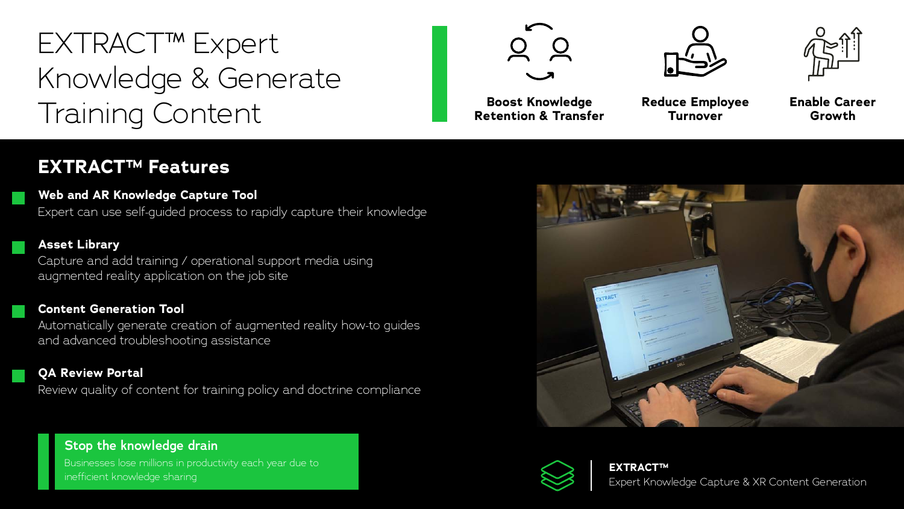### **Stop the knowledge drain**

Businesses lose millions in productivity each year due to inefficient knowledge sharing







### **Web and AR Knowledge Capture Tool**

Expert can use self-guided process to rapidly capture their knowledge

### **Asset Library**

Capture and add training / operational support media using augmented reality application on the job site

### **Content Generation Tool**

Automatically generate creation of augmented reality how-to guides and advanced troubleshooting assistance

### **QA Review Portal**

Review quality of content for training policy and doctrine compliance







# EXTRACT™ Expert Knowledge & Generate Training Content

## **EXTRACT™ Features**

**Boost Knowledge Retention & Transfer**

**Reduce Employee Turnover**

**Enable Career Growth**

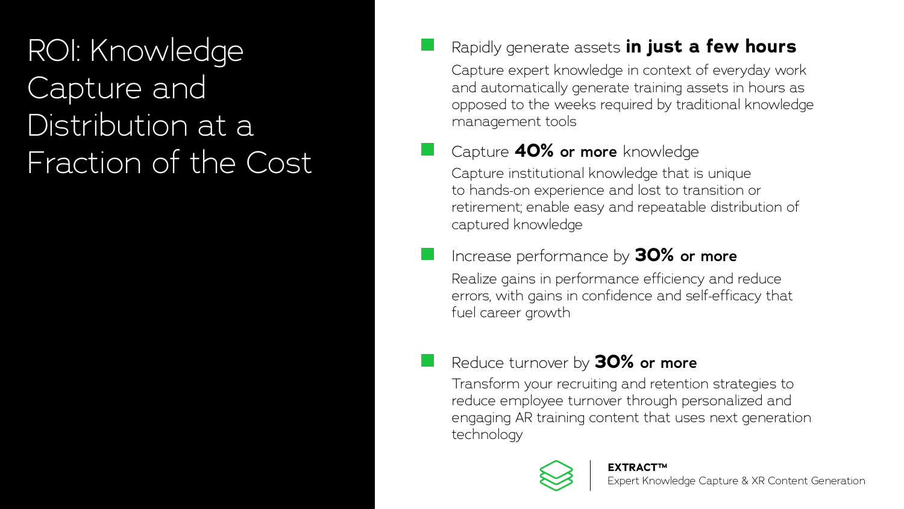![](_page_9_Figure_11.jpeg)

ROI: Knowledge Capture and Distribution at a Fraction of the Cost

Capture expert knowledge in context of everyday work and automatically generate training assets in hours as opposed to the weeks required by traditional knowledge management tools

## Rapidly generate assets **in just a few hours**

## Capture **40% or more** knowledge

Capture institutional knowledge that is unique to hands-on experience and lost to transition or retirement; enable easy and repeatable distribution of captured knowledge

## Increase performance by **30% or more**

Realize gains in performance efficiency and reduce errors, with gains in confidence and self-efficacy that fuel career growth

## Reduce turnover by **30% or more**

Transform your recruiting and retention strategies to reduce employee turnover through personalized and engaging AR training content that uses next generation technology

![](_page_9_Picture_9.jpeg)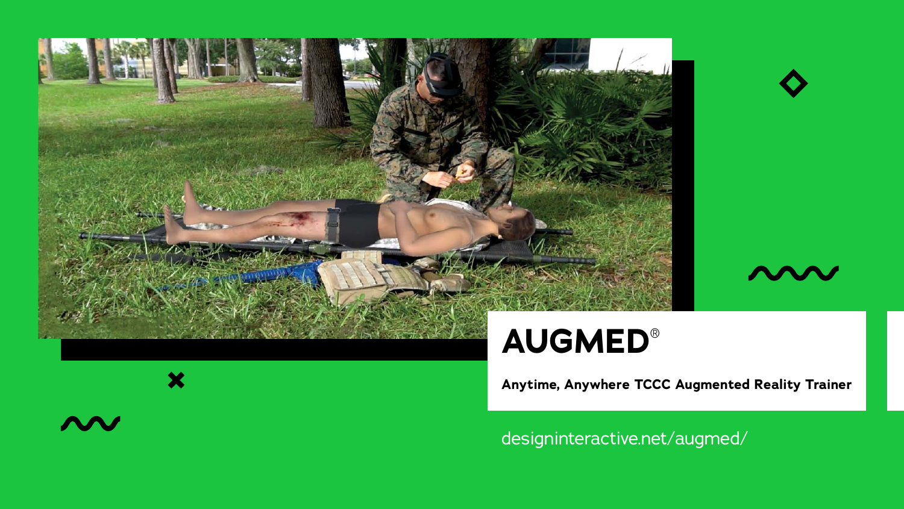![](_page_10_Picture_0.jpeg)

![](_page_10_Picture_1.jpeg)

![](_page_10_Picture_2.jpeg)

![](_page_10_Picture_3.jpeg)

# **AUGMED®**

Anytime, Anywhere TCCC Augmented Reality Trainer

designinteractive.net/augmed/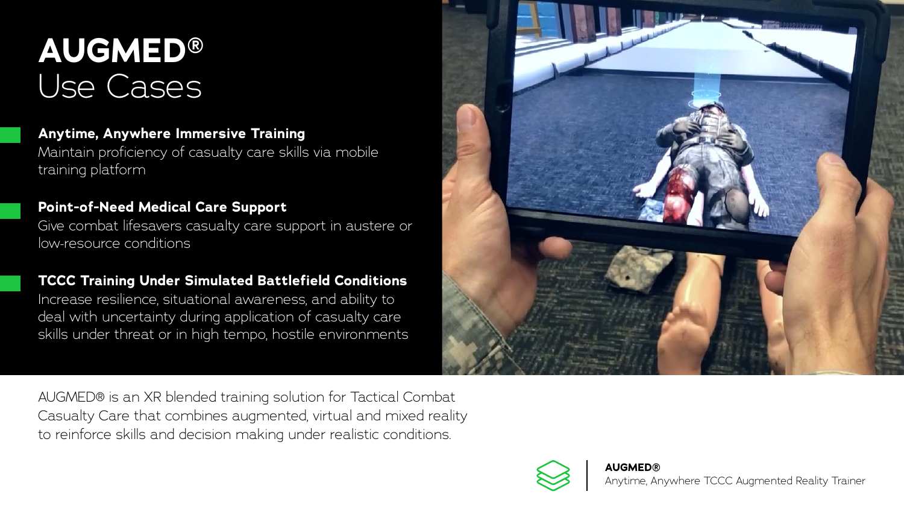### **Anytime, Anywhere Immersive Training**

Maintain proficiency of casualty care skills via mobile training platform

## **Point-of-Need Medical Care Support**

Give combat lifesavers casualty care support in austere or low-resource conditions

## **TCCC Training Under Simulated Battlefield Conditions**

Increase resilience, situational awareness, and ability to deal with uncertainty during application of casualty care skills under threat or in high tempo, hostile environments

**AUGMED®**

Anytime, Anywhere TCCC Augmented Reality Trainer

![](_page_11_Figure_12.jpeg)

AUGMED® is an XR blended training solution for Tactical Combat Casualty Care that combines augmented, virtual and mixed reality to reinforce skills and decision making under realistic conditions.

![](_page_11_Picture_8.jpeg)

![](_page_11_Picture_9.jpeg)

# Use Cases **AUGMED®**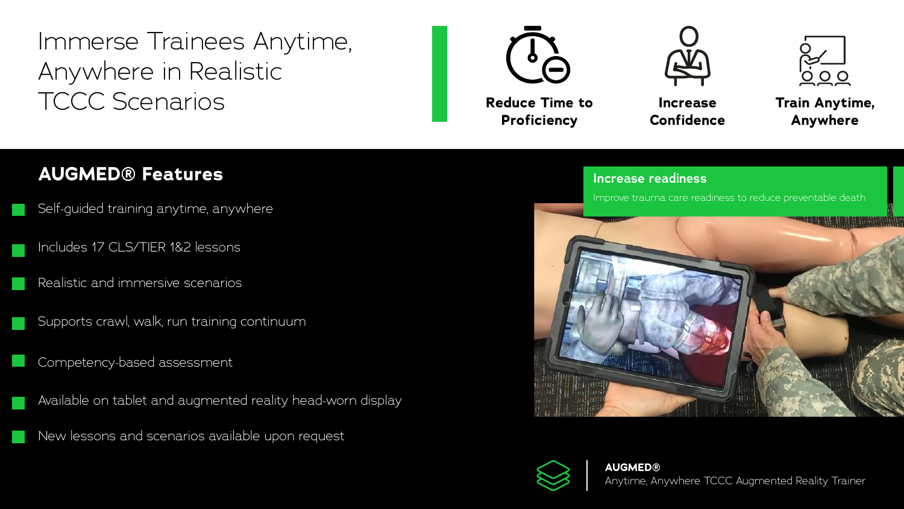**AUGMED®** Anytime, Anywhere TCCC Augmented Reality Trainer

![](_page_12_Figure_20.jpeg)

![](_page_12_Figure_21.jpeg)

## Immerse Trainees Anytime, Anywhere in Realistic TCCC Scenarios

## **AUGMED® Features**

- Self-guided training anytime, anywhere
- Includes 17 CLS/TIER 1&2 lessons
- Realistic and immersive scenarios
- Supports crawl, walk, run training continuum
- Competency-based assessment
- Available on tablet and augmented reality head-worn display
- New lessons and scenarios available upon request

![](_page_12_Picture_9.jpeg)

![](_page_12_Picture_17.jpeg)

![](_page_12_Picture_18.jpeg)

**Reduce Time to Proficiency**

![](_page_12_Picture_11.jpeg)

**Increase Confidence**

![](_page_12_Picture_13.jpeg)

**Train Anytime, Anywhere**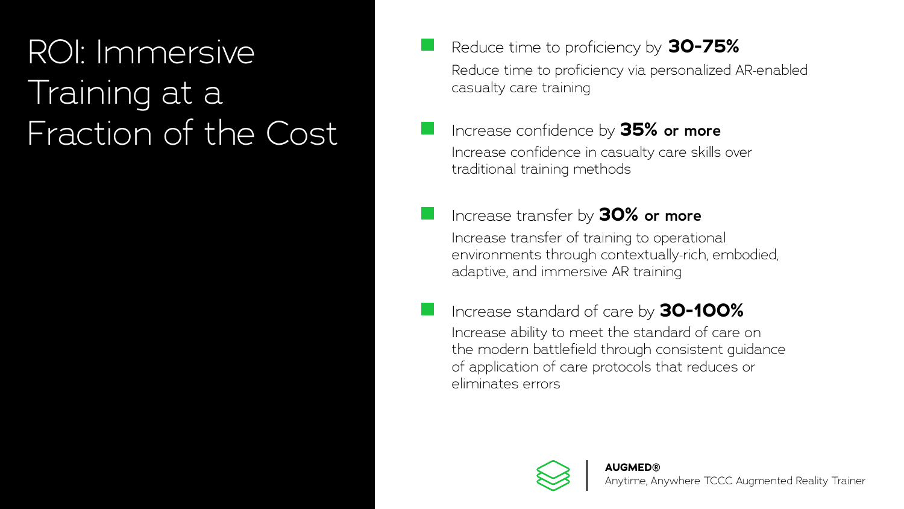![](_page_13_Figure_11.jpeg)

# ROI: Immersive Training at a Fraction of the Cost

Reduce time to proficiency via personalized AR-enabled casualty care training

## Reduce time to proficiency by **30-75%**

## Increase confidence by **35% or more**

Increase confidence in casualty care skills over traditional training methods

## Increase transfer by **30% or more**

Increase transfer of training to operational environments through contextually-rich, embodied, adaptive, and immersive AR training

## Increase standard of care by **30-100%**

Increase ability to meet the standard of care on the modern battlefield through consistent guidance of application of care protocols that reduces or eliminates errors

![](_page_13_Picture_9.jpeg)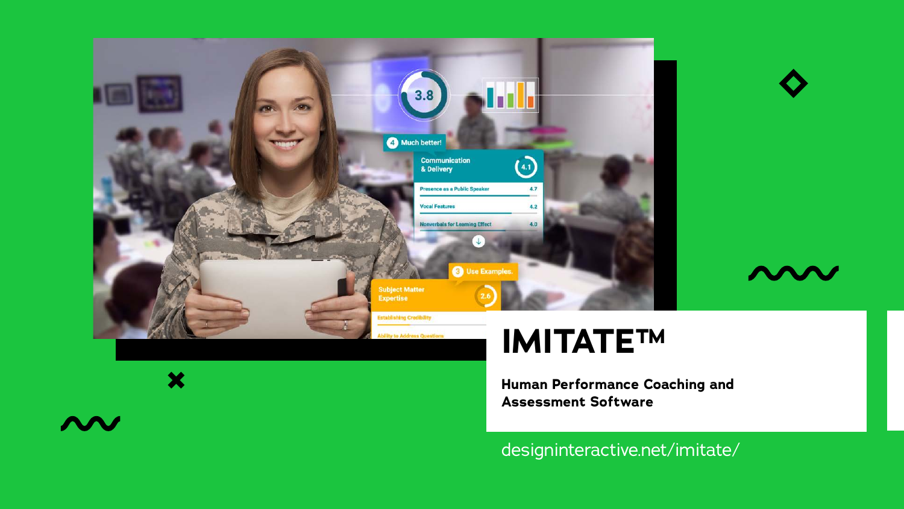![](_page_14_Picture_0.jpeg)

![](_page_14_Picture_1.jpeg)

![](_page_14_Picture_2.jpeg)

# IMITATETM

Human Performance Coaching and **Assessment Software** 

designinteractive.net/imitate/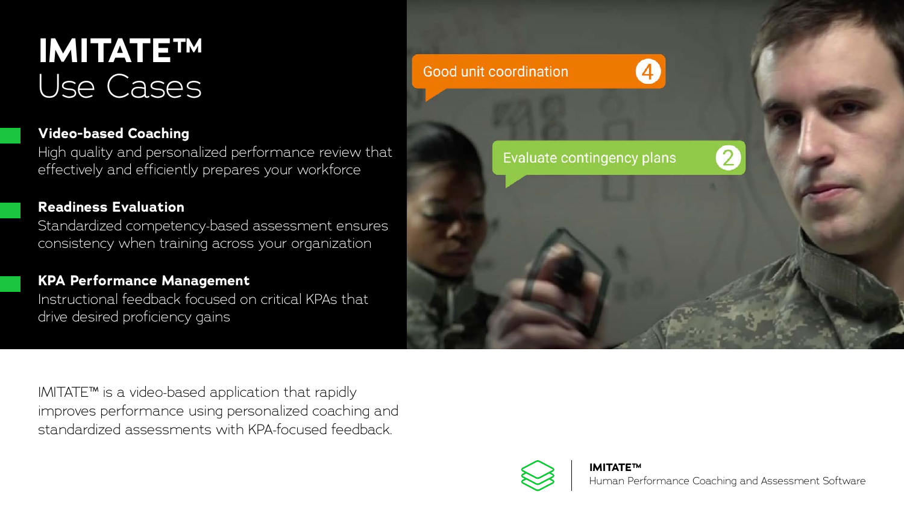## **Video-based Coaching**

High quality and personalized performance review that effectively and efficiently prepares your workforce

## **Readiness Evaluation**

Standardized competency-based assessment ensures consistency when training across your organization

## **KPA Performance Management**

Instructional feedback focused on critical KPAs that drive desired proficiency gains

> **IMITATE™** Human Performance Coaching and Assessment Software

![](_page_15_Picture_13.jpeg)

IMITATE™ is a video-based application that rapidly improves performance using personalized coaching and standardized assessments with KPA-focused feedback.

![](_page_15_Picture_8.jpeg)

![](_page_15_Picture_9.jpeg)

## Evaluate contingency plans

![](_page_15_Picture_11.jpeg)

# Use Cases **IMITATE™**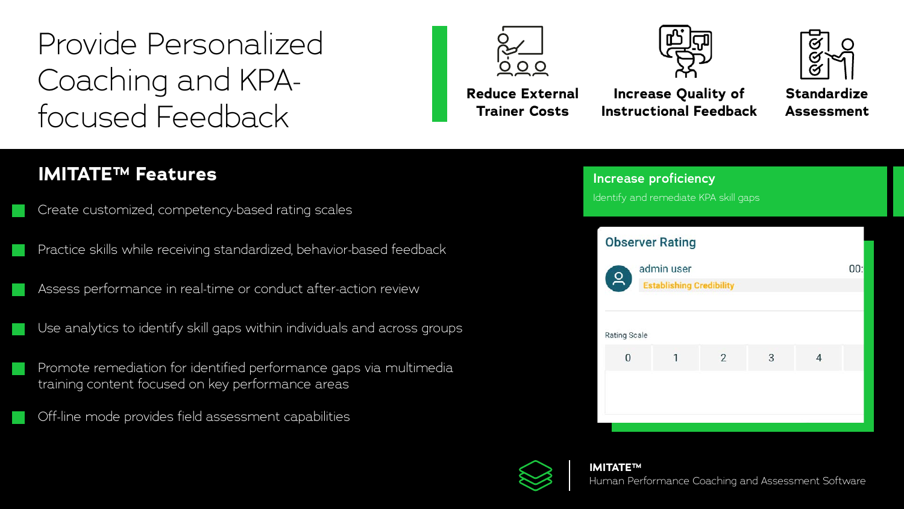![](_page_16_Figure_13.jpeg)

![](_page_16_Figure_14.jpeg)

# Provide Personalized Coaching and KPAfocused Feedback

## **IMITATE™ Features**

Off-line mode provides field assessment capabilities

![](_page_16_Picture_8.jpeg)

Create customized, competency-based rating scales

Practice skills while receiving standardized, behavior-based feedback

Assess performance in real-time or conduct after-action review

Use analytics to identify skill gaps within individuals and across groups

Promote remediation for identified performance gaps via multimedia training content focused on key performance areas

**Reduce External** 

**Trainer Costs**

![](_page_16_Picture_9.jpeg)

**Increase Quality of Instructional Feedback**

![](_page_16_Picture_11.jpeg)

**Standardize Assessment**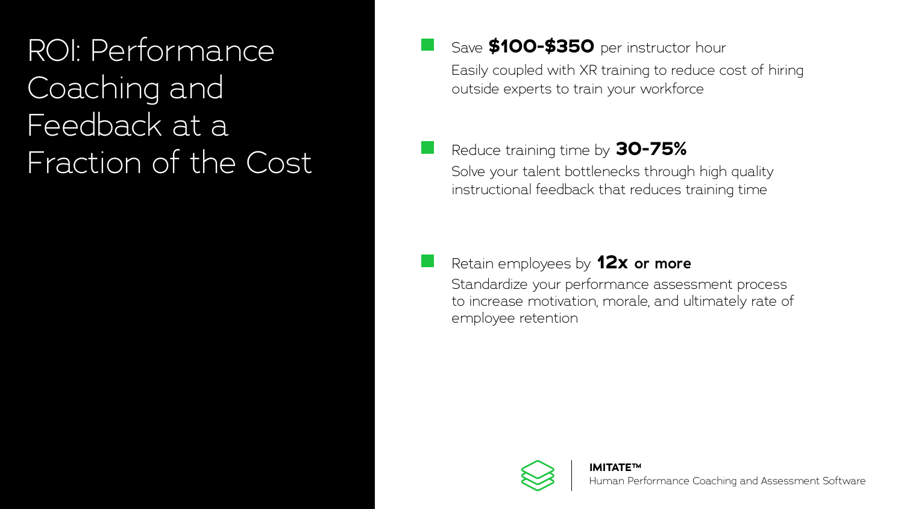![](_page_17_Picture_9.jpeg)

ROI: Performance Coaching and Feedback at a Fraction of the Cost

Easily coupled with XR training to reduce cost of hiring outside experts to train your workforce

Solve your talent bottlenecks through high quality instructional feedback that reduces training time

## Save **\$100-\$350** per instructor hour

## Reduce training time by **30-75%**

## Retain employees by **12x or more**

Standardize your performance assessment process to increase motivation, morale, and ultimately rate of employee retention

![](_page_17_Picture_7.jpeg)